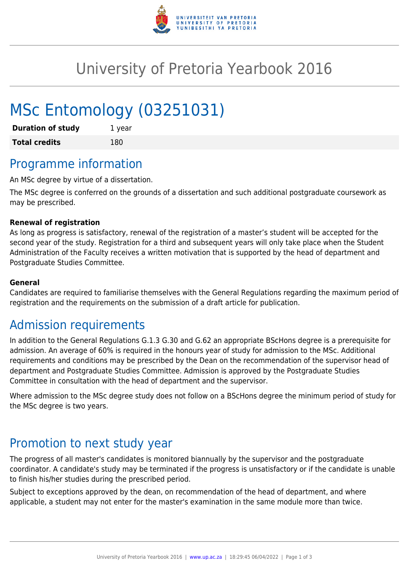

## University of Pretoria Yearbook 2016

# MSc Entomology (03251031)

| <b>Duration of study</b> | 1 year |
|--------------------------|--------|
| <b>Total credits</b>     | 180    |

### Programme information

An MSc degree by virtue of a dissertation.

The MSc degree is conferred on the grounds of a dissertation and such additional postgraduate coursework as may be prescribed.

#### **Renewal of registration**

As long as progress is satisfactory, renewal of the registration of a master's student will be accepted for the second year of the study. Registration for a third and subsequent years will only take place when the Student Administration of the Faculty receives a written motivation that is supported by the head of department and Postgraduate Studies Committee.

#### **General**

Candidates are required to familiarise themselves with the General Regulations regarding the maximum period of registration and the requirements on the submission of a draft article for publication.

### Admission requirements

In addition to the General Regulations G.1.3 G.30 and G.62 an appropriate BScHons degree is a prerequisite for admission. An average of 60% is required in the honours year of study for admission to the MSc. Additional requirements and conditions may be prescribed by the Dean on the recommendation of the supervisor head of department and Postgraduate Studies Committee. Admission is approved by the Postgraduate Studies Committee in consultation with the head of department and the supervisor.

Where admission to the MSc degree study does not follow on a BScHons degree the minimum period of study for the MSc degree is two years.

### Promotion to next study year

The progress of all master's candidates is monitored biannually by the supervisor and the postgraduate coordinator. A candidate's study may be terminated if the progress is unsatisfactory or if the candidate is unable to finish his/her studies during the prescribed period.

Subject to exceptions approved by the dean, on recommendation of the head of department, and where applicable, a student may not enter for the master's examination in the same module more than twice.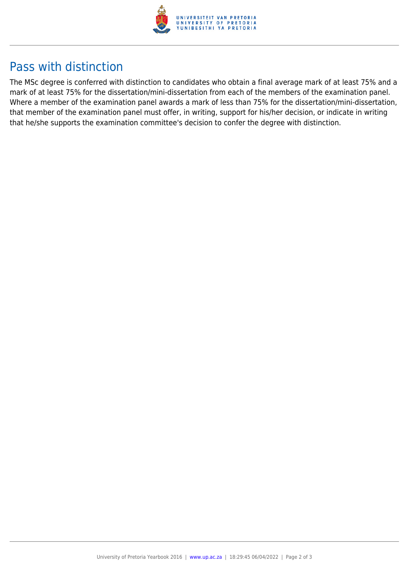

### Pass with distinction

The MSc degree is conferred with distinction to candidates who obtain a final average mark of at least 75% and a mark of at least 75% for the dissertation/mini-dissertation from each of the members of the examination panel. Where a member of the examination panel awards a mark of less than 75% for the dissertation/mini-dissertation, that member of the examination panel must offer, in writing, support for his/her decision, or indicate in writing that he/she supports the examination committee's decision to confer the degree with distinction.